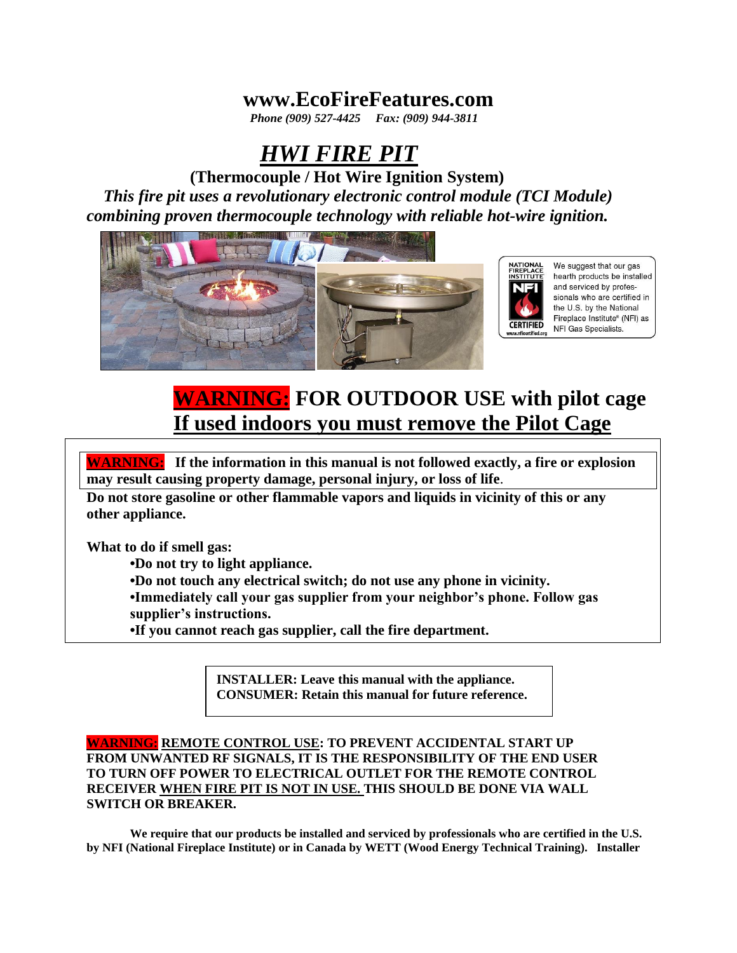## **www.EcoFireFeatures.com**

 *Phone (909) 527-4425 Fax: (909) 944-3811*

# *HWI FIRE PIT*

 **(Thermocouple / Hot Wire Ignition System)**   *This fire pit uses a revolutionary electronic control module (TCI Module) combining proven thermocouple technology with reliable hot-wire ignition.*



We suggest that our gas **ATIONA** hearth products be installed and serviced by professionals who are certified in the U.S. by the National Fireplace Institute® (NFI) as NFI Gas Specialists.

# **WARNING: FOR OUTDOOR USE with pilot cage If used indoors you must remove the Pilot Cage**

**WARNING: If the information in this manual is not followed exactly, a fire or explosion may result causing property damage, personal injury, or loss of life**.

**Do not store gasoline or other flammable vapors and liquids in vicinity of this or any other appliance.**

**What to do if smell gas:**

**•Do not try to light appliance.**

**•Do not touch any electrical switch; do not use any phone in vicinity.**

**•Immediately call your gas supplier from your neighbor's phone. Follow gas supplier's instructions.**

**•If you cannot reach gas supplier, call the fire department.**

**INSTALLER: Leave this manual with the appliance. CONSUMER: Retain this manual for future reference.**

### **WARNING: REMOTE CONTROL USE: TO PREVENT ACCIDENTAL START UP FROM UNWANTED RF SIGNALS, IT IS THE RESPONSIBILITY OF THE END USER TO TURN OFF POWER TO ELECTRICAL OUTLET FOR THE REMOTE CONTROL RECEIVER WHEN FIRE PIT IS NOT IN USE. THIS SHOULD BE DONE VIA WALL SWITCH OR BREAKER.**

**We require that our products be installed and serviced by professionals who are certified in the U.S. by NFI (National Fireplace Institute) or in Canada by WETT (Wood Energy Technical Training). Installer**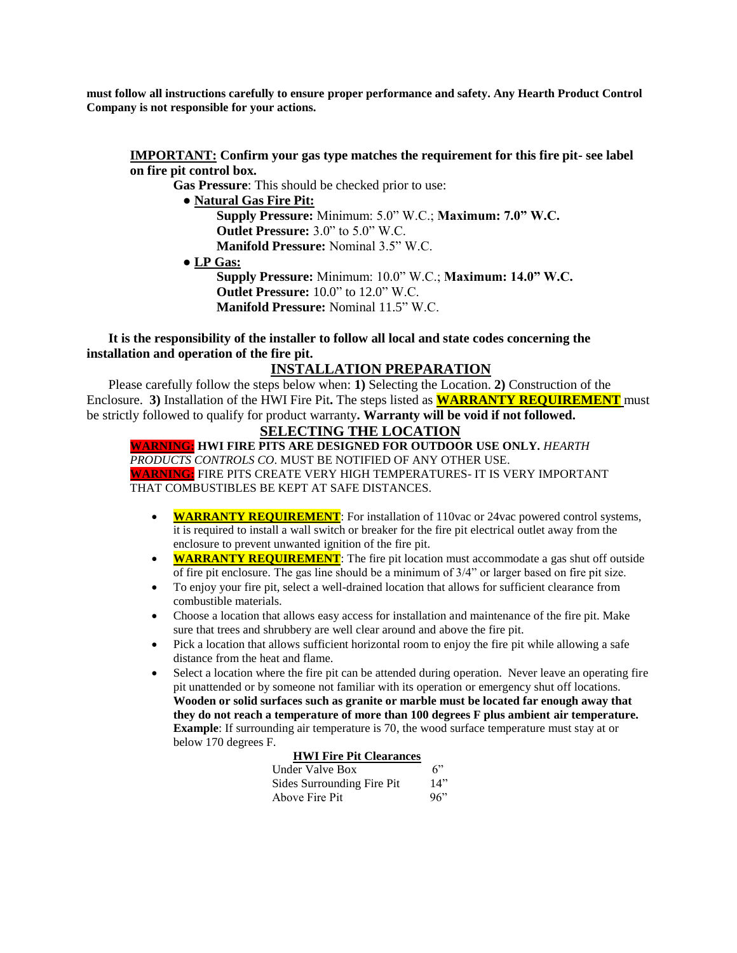**must follow all instructions carefully to ensure proper performance and safety. Any Hearth Product Control Company is not responsible for your actions.**

#### **IMPORTANT: Confirm your gas type matches the requirement for this fire pit- see label on fire pit control box.**

 **Gas Pressure**: This should be checked prior to use:

- **Natural Gas Fire Pit:** 
	- **Supply Pressure:** Minimum: 5.0" W.C.; **Maximum: 7.0" W.C. Outlet Pressure:** 3.0" to 5.0" W.C. **Manifold Pressure:** Nominal 3.5" W.C.

 **● LP Gas:**

**Supply Pressure:** Minimum: 10.0" W.C.; **Maximum: 14.0" W.C. Outlet Pressure:** 10.0" to 12.0" W.C. **Manifold Pressure:** Nominal 11.5" W.C.

#### **It is the responsibility of the installer to follow all local and state codes concerning the installation and operation of the fire pit.**

## **INSTALLATION PREPARATION**

Please carefully follow the steps below when: **1)** Selecting the Location. **2)** Construction of the Enclosure. **3)** Installation of the HWI Fire Pit**.** The steps listed as **WARRANTY REQUIREMENT** must be strictly followed to qualify for product warranty**. Warranty will be void if not followed.**

## **SELECTING THE LOCATION**

**WARNING: HWI FIRE PITS ARE DESIGNED FOR OUTDOOR USE ONLY.** *HEARTH PRODUCTS CONTROLS CO*. MUST BE NOTIFIED OF ANY OTHER USE. **WARNING:** FIRE PITS CREATE VERY HIGH TEMPERATURES- IT IS VERY IMPORTANT THAT COMBUSTIBLES BE KEPT AT SAFE DISTANCES.

- **WARRANTY REQUIREMENT**: For installation of 110vac or 24vac powered control systems, it is required to install a wall switch or breaker for the fire pit electrical outlet away from the enclosure to prevent unwanted ignition of the fire pit.
- **WARRANTY REQUIREMENT**: The fire pit location must accommodate a gas shut off outside of fire pit enclosure. The gas line should be a minimum of 3/4" or larger based on fire pit size.
- To enjoy your fire pit, select a well-drained location that allows for sufficient clearance from combustible materials.
- Choose a location that allows easy access for installation and maintenance of the fire pit. Make sure that trees and shrubbery are well clear around and above the fire pit.
- Pick a location that allows sufficient horizontal room to enjoy the fire pit while allowing a safe distance from the heat and flame.
- Select a location where the fire pit can be attended during operation. Never leave an operating fire pit unattended or by someone not familiar with its operation or emergency shut off locations. **Wooden or solid surfaces such as granite or marble must be located far enough away that they do not reach a temperature of more than 100 degrees F plus ambient air temperature. Example**: If surrounding air temperature is 70, the wood surface temperature must stay at or below 170 degrees F.

#### **HWI Fire Pit Clearances**

| Under Valve Box            | 6"  |
|----------------------------|-----|
| Sides Surrounding Fire Pit | 14" |
| Above Fire Pit             | 96" |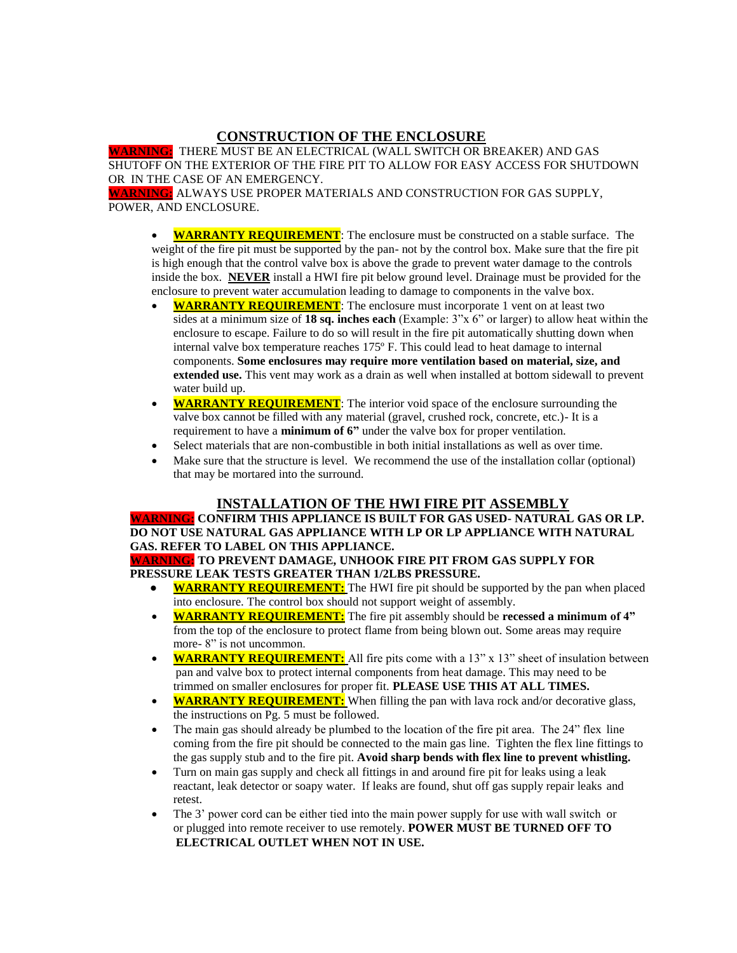## **CONSTRUCTION OF THE ENCLOSURE**

**WARNING:** THERE MUST BE AN ELECTRICAL (WALL SWITCH OR BREAKER) AND GAS SHUTOFF ON THE EXTERIOR OF THE FIRE PIT TO ALLOW FOR EASY ACCESS FOR SHUTDOWN OR IN THE CASE OF AN EMERGENCY.

**WARNING:** ALWAYS USE PROPER MATERIALS AND CONSTRUCTION FOR GAS SUPPLY, POWER, AND ENCLOSURE.

- **WARRANTY REQUIREMENT**: The enclosure must be constructed on a stable surface. The weight of the fire pit must be supported by the pan- not by the control box. Make sure that the fire pit is high enough that the control valve box is above the grade to prevent water damage to the controls inside the box. **NEVER** install a HWI fire pit below ground level. Drainage must be provided for the enclosure to prevent water accumulation leading to damage to components in the valve box.
- **WARRANTY REQUIREMENT:** The enclosure must incorporate 1 vent on at least two sides at a minimum size of **18 sq. inches each** (Example: 3"x 6" or larger) to allow heat within the enclosure to escape. Failure to do so will result in the fire pit automatically shutting down when internal valve box temperature reaches 175º F. This could lead to heat damage to internal components. **Some enclosures may require more ventilation based on material, size, and extended use.** This vent may work as a drain as well when installed at bottom sidewall to prevent water build up.
- **WARRANTY REQUIREMENT**: The interior void space of the enclosure surrounding the valve box cannot be filled with any material (gravel, crushed rock, concrete, etc.)- It is a requirement to have a **minimum of 6"** under the valve box for proper ventilation.
- Select materials that are non-combustible in both initial installations as well as over time.
- Make sure that the structure is level. We recommend the use of the installation collar (optional) that may be mortared into the surround.

### **INSTALLATION OF THE HWI FIRE PIT ASSEMBLY**

#### **WARNING: CONFIRM THIS APPLIANCE IS BUILT FOR GAS USED- NATURAL GAS OR LP. DO NOT USE NATURAL GAS APPLIANCE WITH LP OR LP APPLIANCE WITH NATURAL GAS. REFER TO LABEL ON THIS APPLIANCE.**

**WARNING: TO PREVENT DAMAGE, UNHOOK FIRE PIT FROM GAS SUPPLY FOR PRESSURE LEAK TESTS GREATER THAN 1/2LBS PRESSURE.**

- **WARRANTY REQUIREMENT:** The HWI fire pit should be supported by the pan when placed into enclosure. The control box should not support weight of assembly.
- **WARRANTY REQUIREMENT:** The fire pit assembly should be **recessed a minimum of 4"** from the top of the enclosure to protect flame from being blown out. Some areas may require more- $8$ " is not uncommon.
- **WARRANTY REQUIREMENT:** All fire pits come with a 13" x 13" sheet of insulation between pan and valve box to protect internal components from heat damage. This may need to be trimmed on smaller enclosures for proper fit. **PLEASE USE THIS AT ALL TIMES.**
- **WARRANTY REQUIREMENT:** When filling the pan with lava rock and/or decorative glass, the instructions on Pg. 5 must be followed.
- The main gas should already be plumbed to the location of the fire pit area. The 24" flex line coming from the fire pit should be connected to the main gas line. Tighten the flex line fittings to the gas supply stub and to the fire pit. **Avoid sharp bends with flex line to prevent whistling.**
- Turn on main gas supply and check all fittings in and around fire pit for leaks using a leak reactant, leak detector or soapy water. If leaks are found, shut off gas supply repair leaks and retest.
- The 3' power cord can be either tied into the main power supply for use with wall switch or or plugged into remote receiver to use remotely. **POWER MUST BE TURNED OFF TO ELECTRICAL OUTLET WHEN NOT IN USE.**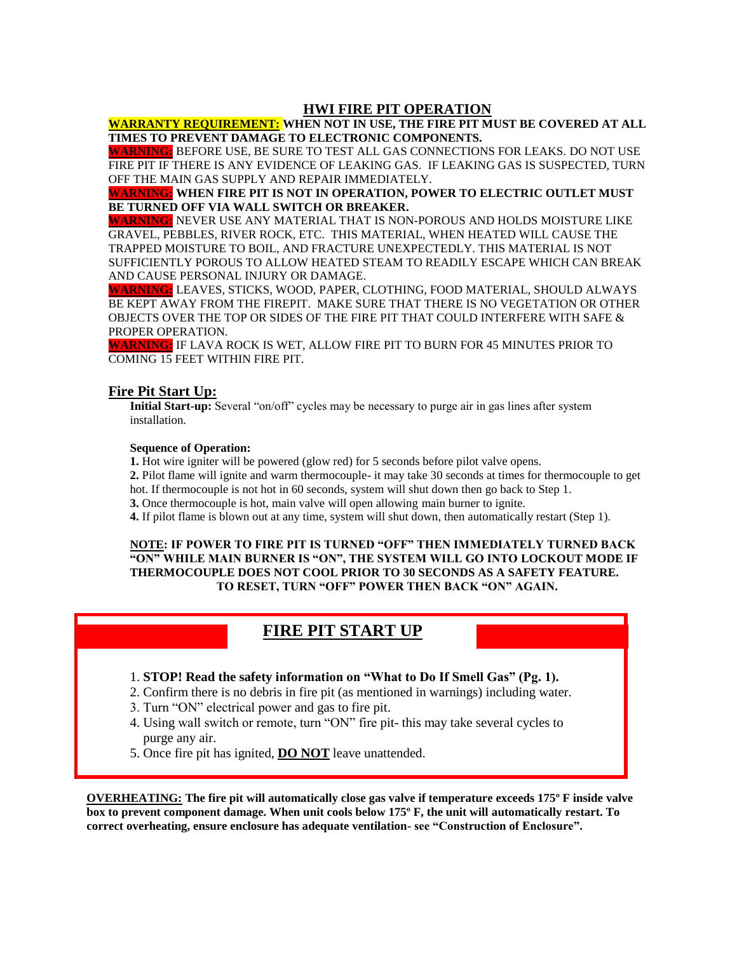### **HWI FIRE PIT OPERATION**

**WARRANTY REQUIREMENT: WHEN NOT IN USE, THE FIRE PIT MUST BE COVERED AT ALL TIMES TO PREVENT DAMAGE TO ELECTRONIC COMPONENTS.**

**WARNING:** BEFORE USE, BE SURE TO TEST ALL GAS CONNECTIONS FOR LEAKS. DO NOT USE FIRE PIT IF THERE IS ANY EVIDENCE OF LEAKING GAS. IF LEAKING GAS IS SUSPECTED, TURN OFF THE MAIN GAS SUPPLY AND REPAIR IMMEDIATELY.

**WARNING: WHEN FIRE PIT IS NOT IN OPERATION, POWER TO ELECTRIC OUTLET MUST BE TURNED OFF VIA WALL SWITCH OR BREAKER.**

**WARNING:** NEVER USE ANY MATERIAL THAT IS NON-POROUS AND HOLDS MOISTURE LIKE GRAVEL, PEBBLES, RIVER ROCK, ETC. THIS MATERIAL, WHEN HEATED WILL CAUSE THE TRAPPED MOISTURE TO BOIL, AND FRACTURE UNEXPECTEDLY. THIS MATERIAL IS NOT SUFFICIENTLY POROUS TO ALLOW HEATED STEAM TO READILY ESCAPE WHICH CAN BREAK AND CAUSE PERSONAL INJURY OR DAMAGE.

**WARNING:** LEAVES, STICKS, WOOD, PAPER, CLOTHING, FOOD MATERIAL, SHOULD ALWAYS BE KEPT AWAY FROM THE FIREPIT. MAKE SURE THAT THERE IS NO VEGETATION OR OTHER OBJECTS OVER THE TOP OR SIDES OF THE FIRE PIT THAT COULD INTERFERE WITH SAFE & PROPER OPERATION.

**WARNING:** IF LAVA ROCK IS WET, ALLOW FIRE PIT TO BURN FOR 45 MINUTES PRIOR TO COMING 15 FEET WITHIN FIRE PIT.

#### **Fire Pit Start Up:**

 **Initial Start-up:** Several "on/off" cycles may be necessary to purge air in gas lines after system installation.

#### **Sequence of Operation:**

**1.** Hot wire igniter will be powered (glow red) for 5 seconds before pilot valve opens.

**2.** Pilot flame will ignite and warm thermocouple- it may take 30 seconds at times for thermocouple to get hot. If thermocouple is not hot in 60 seconds, system will shut down then go back to Step 1.

**3.** Once thermocouple is hot, main valve will open allowing main burner to ignite.

**4.** If pilot flame is blown out at any time, system will shut down, then automatically restart (Step 1).

#### **NOTE: IF POWER TO FIRE PIT IS TURNED "OFF" THEN IMMEDIATELY TURNED BACK "ON" WHILE MAIN BURNER IS "ON", THE SYSTEM WILL GO INTO LOCKOUT MODE IF THERMOCOUPLE DOES NOT COOL PRIOR TO 30 SECONDS AS A SAFETY FEATURE. TO RESET, TURN "OFF" POWER THEN BACK "ON" AGAIN.**

## **FIRE PIT START UP**

#### 1. **STOP! Read the safety information on "What to Do If Smell Gas" (Pg. 1).**

- 2. Confirm there is no debris in fire pit (as mentioned in warnings) including water.
- 3. Turn "ON" electrical power and gas to fire pit.
- 4. Using wall switch or remote, turn "ON" fire pit- this may take several cycles to purge any air.
- 5. Once fire pit has ignited, **DO NOT** leave unattended.

**OVERHEATING: The fire pit will automatically close gas valve if temperature exceeds 175º F inside valve box to prevent component damage. When unit cools below 175º F, the unit will automatically restart. To correct overheating, ensure enclosure has adequate ventilation- see "Construction of Enclosure".**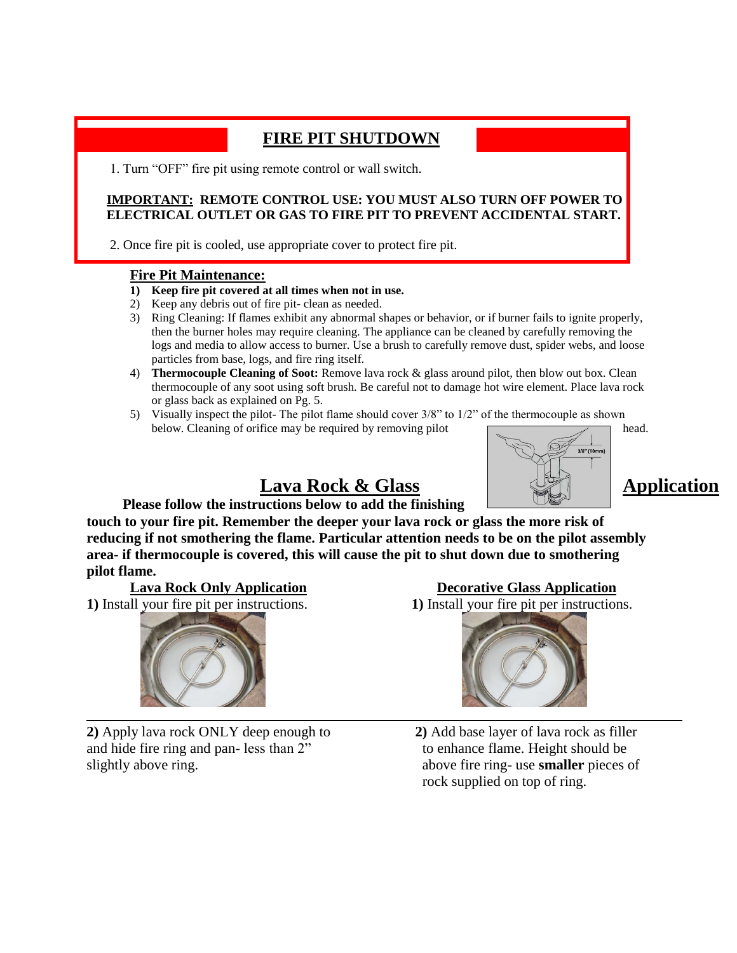## **FIRE PIT SHUTDOWN**

1. Turn "OFF" fire pit using remote control or wall switch.

## **IMPORTANT: REMOTE CONTROL USE: YOU MUST ALSO TURN OFF POWER TO ELECTRICAL OUTLET OR GAS TO FIRE PIT TO PREVENT ACCIDENTAL START.**

2. Once fire pit is cooled, use appropriate cover to protect fire pit.

## **Fire Pit Maintenance:**

- **1) Keep fire pit covered at all times when not in use.**
- 2) Keep any debris out of fire pit- clean as needed.
- 3) Ring Cleaning: If flames exhibit any abnormal shapes or behavior, or if burner fails to ignite properly, then the burner holes may require cleaning. The appliance can be cleaned by carefully removing the logs and media to allow access to burner. Use a brush to carefully remove dust, spider webs, and loose particles from base, logs, and fire ring itself.
- 4) **Thermocouple Cleaning of Soot:** Remove lava rock & glass around pilot, then blow out box. Clean thermocouple of any soot using soft brush. Be careful not to damage hot wire element. Place lava rock or glass back as explained on Pg. 5.
- 5) Visually inspect the pilot- The pilot flame should cover 3/8" to 1/2" of the thermocouple as shown below. Cleaning of orifice may be required by removing pilot head.





# Lava Rock & Glass **Application**

## **Please follow the instructions below to add the finishing**

**touch to your fire pit. Remember the deeper your lava rock or glass the more risk of reducing if not smothering the flame. Particular attention needs to be on the pilot assembly area- if thermocouple is covered, this will cause the pit to shut down due to smothering pilot flame.** 

**1)** Install your fire pit per instructions. **1)** Install your fire pit per instructions.



**2)** Apply lava rock ONLY deep enough to **2)** Add base layer of lava rock as filler and hide fire ring and pan- less than 2" to enhance flame. Height should be slightly above ring. **above fire ring-use smaller** pieces of

**Lava Rock Only Application Decorative Glass Application** 



rock supplied on top of ring.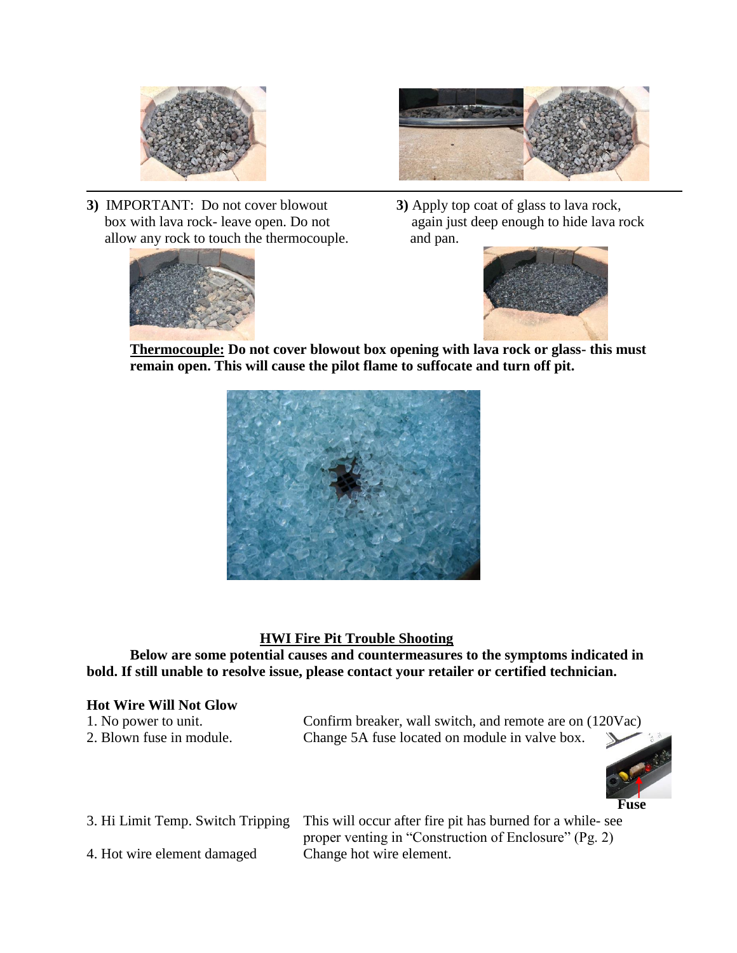



l **3)** IMPORTANT: Do not cover blowout **3)** Apply top coat of glass to lava rock, allow any rock to touch the thermocouple. and pan.



box with lava rock- leave open. Do not again just deep enough to hide lava rock



**Thermocouple: Do not cover blowout box opening with lava rock or glass- this must remain open. This will cause the pilot flame to suffocate and turn off pit.** 



## **HWI Fire Pit Trouble Shooting**

**Below are some potential causes and countermeasures to the symptoms indicated in bold. If still unable to resolve issue, please contact your retailer or certified technician.**

## **Hot Wire Will Not Glow**

| 1. No power to unit.     | Confirm breaker, wall switch, and remote are on (120Vac) |  |
|--------------------------|----------------------------------------------------------|--|
| 2. Blown fuse in module. | Change 5A fuse located on module in valve box.           |  |



3. Hi Limit Temp. Switch Tripping This will occur after fire pit has burned for a while- see proper venting in "Construction of Enclosure" (Pg. 2) 4. Hot wire element damaged Change hot wire element.